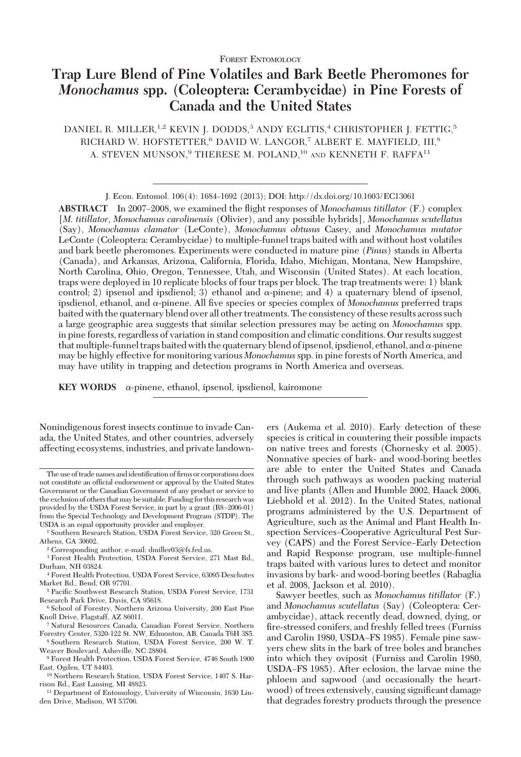# **Trap Lure Blend of Pine Volatiles and Bark Beetle Pheromones for** *Monochamus* **spp. (Coleoptera: Cerambycidae) in Pine Forests of Canada and the United States**

DANIEL R. MILLER,<sup>1,2</sup> KEVIN J. DODDS,<sup>3</sup> ANDY EGLITIS,<sup>4</sup> CHRISTOPHER J. FETTIG,<sup>5</sup> RICHARD W. HOFSTETTER,<sup>6</sup> DAVID W. LANGOR,<sup>7</sup> ALBERT E. MAYFIELD, III,<sup>8</sup> A. STEVEN MUNSON.<sup>9</sup> THERESE M. POLAND.<sup>10</sup> AND KENNETH F. RAFFA<sup>11</sup>

ABSTRACT In 2007–2008, we examined the flight responses of *Monochamus titillator* (F.) complex [*M*. *titillator*, *Monochamus carolinensis* (Olivier), and any possible hybrids], *Monochamus scutellatus* (Say), *Monochamus clamator* (LeConte), *Monochamus obtusus* Casey, and *Monochamus mutator* LeConte (Coleoptera: Cerambycidae) to multiple-funnel traps baited with and without host volatiles and bark beetle pheromones. Experiments were conducted in mature pine (*Pinus*) stands in Alberta (Canada), and Arkansas, Arizona, California, Florida, Idaho, Michigan, Montana, New Hampshire, North Carolina, Ohio, Oregon, Tennessee, Utah, and Wisconsin (United States). At each location, traps were deployed in 10 replicate blocks of four traps per block. The trap treatments were: 1) blank control; 2) ipsenol and ipsdienol; 3) ethanol and  $\alpha$ -pinene; and 4) a quaternary blend of ipsenol, ipsdienol, ethanol, and  $\alpha$ -pinene. All five species or species complex of *Monochamus* preferred traps baited with the quaternary blend over all other treatments. The consistency of these results across such a large geographic area suggests that similar selection pressures may be acting on *Monochamus* spp. in pine forests, regardless of variation in stand composition and climatic conditions. Our results suggest that multiple-funnel traps baited with the quaternary blend of ipsenol, ipsdienol, ethanol, and  $\alpha$ -pinene may be highly effective for monitoring various *Monochamus*spp. in pine forests of North America, and may have utility in trapping and detection programs in North America and overseas.

**KEY WORDS**  $\alpha$ -pinene, ethanol, ipsenol, ipsdienol, kairomone

Nonindigenous forest insects continue to invade Canada, the United States, and other countries, adversely affecting ecosystems, industries, and private landown-

<sup>8</sup> Southern Research Station, USDA Forest Service, 200 W. T. Weaver Boulevard, Asheville, NC 28804.

ers (Aukema et al. 2010). Early detection of these species is critical in countering their possible impacts on native trees and forests (Chornesky et al. 2005). Nonnative species of bark- and wood-boring beetles are able to enter the United States and Canada through such pathways as wooden packing material and live plants (Allen and Humble 2002, Haack 2006, Liebhold et al. 2012). In the United States, national programs administered by the U.S. Department of Agriculture, such as the Animal and Plant Health Inspection Services–Cooperative Agricultural Pest Survey (CAPS) and the Forest Service–Early Detection and Rapid Response program, use multiple-funnel traps baited with various lures to detect and monitor invasions by bark- and wood-boring beetles (Rabaglia et al. 2008, Jackson et al. 2010).

Sawyer beetles, such as *Monochamus titillator* (F.) and *Monochamus scutellatus* (Say) (Coleoptera: Cerambycidae), attack recently dead, downed, dying, or fire-stressed conifers, and freshly felled trees (Furniss and Carolin 1980, USDA–FS 1985). Female pine sawyers chew slits in the bark of tree boles and branches into which they oviposit (Furniss and Carolin 1980, USDA-FS 1985). After eclosion, the larvae mine the phloem and sapwood (and occasionally the heartwood) of trees extensively, causing significant damage that degrades forestry products through the presence

J. Econ. Entomol. 106(4): 1684–1692 (2013); DOI: http://dx.doi.org/10.1603/EC13061

The use of trade names and identification of firms or corporations does not constitute an official endorsement or approval by the United States Government or the Canadian Government of any product or service to the exclusion of others thatmay be suitable.Funding for this researchwas provided by the USDA Forest Service, in part by a grant (R8–2006-01) from the Special Technology and Development Program (STDP). The USDA is an equal opportunity provider and employer.

<sup>1</sup> Southern Research Station, USDA Forest Service, 320 Green St., Athens, GA 30602.

<sup>2</sup> Corresponding author, e-mail: dmiller03@fs.fed.us.

<sup>3</sup> Forest Health Protection, USDA Forest Service, 271 Mast Rd., Durham, NH 03824.

<sup>4</sup> Forest Health Protection, USDA Forest Service, 63095 Deschutes Market Rd., Bend, OR 97701.

<sup>&</sup>lt;sup>5</sup> Pacific Southwest Research Station, USDA Forest Service, 1731 Research Park Drive, Davis, CA 95618.

<sup>6</sup> School of Forestry, Northern Arizona University, 200 East Pine Knoll Drive, Flagstaff, AZ 86011.

<sup>7</sup> Natural Resources Canada, Canadian Forest Service, Northern Forestry Center, 5320-122 St. NW, Edmonton, AB, Canada T6H 3S5.

<sup>9</sup> Forest Health Protection, USDA Forest Service, 4746 South 1900 East, Ogden, UT 84403.

<sup>10</sup> Northern Research Station, USDA Forest Service, 1407 S. Harrison Rd., East Lansing, MI 48823.

<sup>11</sup> Department of Entomology, University of Wisconsin, 1630 Linden Drive, Madison, WI 53706.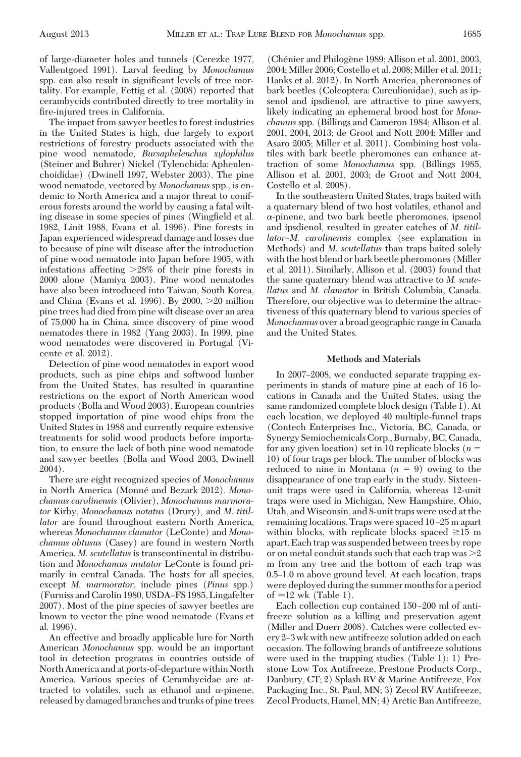of large-diameter holes and tunnels (Cerezke 1977, Vallentgoed 1991). Larval feeding by *Monochamus* spp. can also result in significant levels of tree mortality. For example, Fettig et al. (2008) reported that cerambycids contributed directly to tree mortality in fire-injured trees in California.

The impact from sawyer beetles to forest industries in the United States is high, due largely to export restrictions of forestry products associated with the pine wood nematode, *Bursaphelenchus xylophilus* (Steiner and Buhrer) Nickel (Tylenchida: Aphenlenchoididae) (Dwinell 1997, Webster 2003). The pine wood nematode, vectored by *Monochamus* spp., is endemic to North America and a major threat to coniferous forests around the world by causing a fatal wilting disease in some species of pines (Wingfield et al. 1982, Linit 1988, Evans et al. 1996). Pine forests in Japan experienced widespread damage and losses due to because of pine wilt disease after the introduction of pine wood nematode into Japan before 1905, with infestations affecting  $>28\%$  of their pine forests in 2000 alone (Mamiya 2003). Pine wood nematodes have also been introduced into Taiwan, South Korea, and China (Evans et al. 1996). By 2000, 20 million pine trees had died from pine wilt disease over an area of 75,000 ha in China, since discovery of pine wood nematodes there in 1982 (Yang 2003). In 1999, pine wood nematodes were discovered in Portugal (Vicente et al. 2012).

Detection of pine wood nematodes in export wood products, such as pine chips and softwood lumber from the United States, has resulted in quarantine restrictions on the export of North American wood products (Bolla and Wood 2003). European countries stopped importation of pine wood chips from the United States in 1988 and currently require extensive treatments for solid wood products before importation, to ensure the lack of both pine wood nematode and sawyer beetles (Bolla and Wood 2003, Dwinell 2004).

There are eight recognized species of *Monochamus* in North America (Monné and Bezark 2012). Mono*chamus carolinensis* (Olivier), *Monochamus marmorator* Kirby, *Monochamus notatus* (Drury), and *M. titillator* are found throughout eastern North America, whereas *Monochamus clamator* (LeConte) and *Monochamus obtusus* (Casey) are found in western North America. *M. scutellatus* is transcontinental in distribution and *Monochamus mutator* LeConte is found primarily in central Canada. The hosts for all species, except *M. marmorator,* include pines (*Pinus* spp.) (Furniss and Carolin 1980, USDA–FS 1985, Lingafelter 2007). Most of the pine species of sawyer beetles are known to vector the pine wood nematode (Evans et al. 1996).

An effective and broadly applicable lure for North American *Monochamus* spp. would be an important tool in detection programs in countries outside of North America and at ports-of-departure within North America. Various species of Cerambycidae are attracted to volatiles, such as ethanol and  $\alpha$ -pinene, released by damaged branches and trunks of pine trees

(Chénier and Philogène 1989; Allison et al. 2001, 2003, 2004; Miller 2006; Costello et al. 2008; Miller et al. 2011; Hanks et al. 2012). In North America, pheromones of bark beetles (Coleoptera: Curculionidae), such as ipsenol and ipsdienol, are attractive to pine sawyers, likely indicating an ephemeral brood host for *Monochamus* spp. (Billings and Cameron 1984; Allison et al. 2001, 2004, 2013; de Groot and Nott 2004; Miller and Asaro 2005; Miller et al. 2011). Combining host volatiles with bark beetle pheromones can enhance attraction of some *Monochamus* spp. (Billings 1985, Allison et al. 2001, 2003; de Groot and Nott 2004, Costello et al. 2008).

In the southeastern United States, traps baited with a quaternary blend of two host volatiles, ethanol and  $\alpha$ -pinene, and two bark beetle pheromones, ipsenol and ipsdienol, resulted in greater catches of *M. titillator–M. carolinensis* complex (see explanation in Methods) and *M. scutellatus* than traps baited solely with the host blend or bark beetle pheromones (Miller et al. 2011). Similarly, Allison et al. (2003) found that the same quaternary blend was attractive to *M. scutellatus* and *M. clamator* in British Columbia, Canada. Therefore, our objective was to determine the attractiveness of this quaternary blend to various species of *Monochamus* over a broad geographic range in Canada and the United States.

### **Methods and Materials**

In 2007–2008, we conducted separate trapping experiments in stands of mature pine at each of 16 locations in Canada and the United States, using the same randomized complete block design (Table 1). At each location, we deployed 40 multiple-funnel traps (Contech Enterprises Inc., Victoria, BC, Canada, or Synergy Semiochemicals Corp., Burnaby, BC, Canada, for any given location) set in 10 replicate blocks  $(n =$ 10) of four traps per block. The number of blocks was reduced to nine in Montana  $(n = 9)$  owing to the disappearance of one trap early in the study. Sixteenunit traps were used in California, whereas 12-unit traps were used in Michigan, New Hampshire, Ohio, Utah, and Wisconsin, and 8-unit traps were used at the remaining locations. Traps were spaced 10–25 m apart within blocks, with replicate blocks spaced  $\geq 15$  m apart. Each trap was suspended between trees by rope or on metal conduit stands such that each trap was  $>2$ m from any tree and the bottom of each trap was 0.5–1.0 m above ground level. At each location, traps were deployed during the summer months for a period of  $\approx$ 12 wk (Table 1).

Each collection cup contained 150–200 ml of antifreeze solution as a killing and preservation agent (Miller and Duerr 2008). Catches were collected every 2-3 wk with new antifreeze solution added on each occasion. The following brands of antifreeze solutions were used in the trapping studies (Table 1): 1) Prestone Low Tox Antifreeze, Prestone Products Corp., Danbury, CT; 2) Splash RV & Marine Antifreeze, Fox Packaging Inc., St. Paul, MN; 3) Zecol RV Antifreeze, Zecol Products, Hamel, MN; 4) Arctic Ban Antifreeze,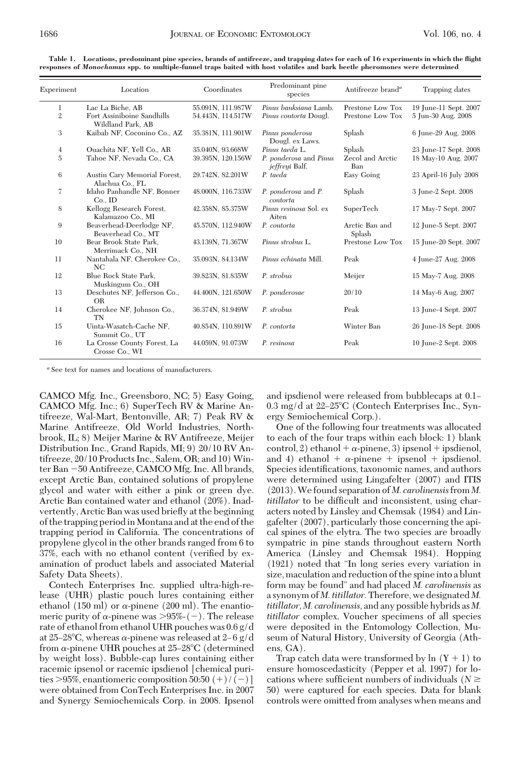| Experiment     | Location                                        | Coordinates       | Predominant pine<br>species              | Antifreeze brand <sup>a</sup> | Trapping dates<br>19 June-11 Sept. 2007 |  |  |
|----------------|-------------------------------------------------|-------------------|------------------------------------------|-------------------------------|-----------------------------------------|--|--|
| 1              | Lac La Biche, AB                                | 55.091N, 111.987W | Pinus banksiana Lamb.                    | Prestone Low Tox              |                                         |  |  |
| $\overline{2}$ | Fort Assiniboine Sandhills<br>Wildland Park, AB | 54.443N, 114.517W | Pinus contorta Dougl.                    | Prestone Low Tox              | 5 Jun-30 Aug. 2008                      |  |  |
| 3              | Kaibab NF, Coconino Co., AZ                     | 35.381N, 111.901W | Pinus ponderosa<br>Dougl. ex Laws.       | Splash                        | 6 June-29 Aug. 2008                     |  |  |
| $\overline{4}$ | Ouachita NF, Yell Co., AR                       | 35.040N, 93.668W  | Pinus taeda L.                           | Splash                        | 23 June-17 Sept. 2008                   |  |  |
| 5              | Tahoe NF, Nevada Co., CA                        | 39.395N, 120.156W | P. ponderosa and Pinus<br>jeffreyi Balf. | Zecol and Arctic<br>Ban       | 18 May-10 Aug. 2007                     |  |  |
| 6              | Austin Cary Memorial Forest,<br>Alachua Co., FL | 29.742N, 82.201W  | P. taeda                                 | <b>Easy Going</b>             | 23 April-16 July 2008                   |  |  |
| 7              | Idaho Panhandle NF, Bonner<br>$Co.$ ID          | 48.000N, 116.733W | P. ponderosa and P.<br>contorta          | Splash                        | 3 June-2 Sept. 2008                     |  |  |
| 8              | Kellogg Research Forest,<br>Kalamazoo Co., MI   | 42.358N, 85.375W  | Pinus resinosa Sol. ex<br>Aiten          | SuperTech                     | 17 May-7 Sept. 2007                     |  |  |
| 9              | Beaverhead-Deerlodge NF,<br>Beaverhead Co., MT  | 45.570N, 112.940W | P. contorta                              | Arctic Ban and<br>Splash      | 12 June-5 Sept. 2007                    |  |  |
| 10             | Bear Brook State Park,<br>Merrimack Co., NH     | 43.139N, 71.367W  | Pinus strobus L.                         | Prestone Low Tox              | 15 June-20 Sept. 2007                   |  |  |
| 11             | Nantahala NF, Cherokee Co.,<br><b>NC</b>        | 35.093N, 84.134W  | Pinus echinata Mill.                     | Peak                          | 4 June-27 Aug. 2008                     |  |  |
| 12             | Blue Rock State Park,<br>Muskingum Co., OH      | 39.823N, 81.835W  | P. strobus                               | Meijer                        | 15 May-7 Aug. 2008                      |  |  |
| 13             | Deschutes NF, Jefferson Co.,<br><b>OR</b>       | 44.400N, 121.650W | P. ponderosae                            | 20/10                         | 14 May-6 Aug. 2007                      |  |  |
| 14             | Cherokee NF, Johnson Co.,<br><b>TN</b>          | 36.374N, 81.949W  | P. strobus                               | Peak                          | 13 June-4 Sept. 2007                    |  |  |
| 15             | Uinta-Wasatch-Cache NF,<br>Summit Co., UT       | 40.854N, 110.891W | P. contorta                              | Winter Ban                    | 26 June-18 Sept. 2008                   |  |  |
| 16             | La Crosse County Forest, La<br>Crosse Co., WI   | 44.059N, 91.073W  | P. resinosa                              | Peak                          | 10 June-2 Sept. 2008                    |  |  |

**Table 1. Locations, predominant pine species, brands of antifreeze, and trapping dates for each of 16 experiments in which the flight responses of** *Monochamus* **spp. to multiple-funnel traps baited with host volatiles and bark beetle pheromones were determined**

*<sup>a</sup>* See text for names and locations of manufacturers.

CAMCO Mfg. Inc., Greensboro, NC; 5) Easy Going, CAMCO Mfg. Inc.; 6) SuperTech RV & Marine Antifreeze, Wal-Mart, Bentonville, AR; 7) Peak RV & Marine Antifreeze, Old World Industries, Northbrook, IL; 8) Meijer Marine & RV Antifreeze, Meijer Distribution Inc., Grand Rapids, MI; 9) 20/10 RV Antifreeze, 20/10 Products Inc., Salem, OR; and 10) Winter Ban -50 Antifreeze, CAMCO Mfg. Inc. All brands, except Arctic Ban, contained solutions of propylene glycol and water with either a pink or green dye. Arctic Ban contained water and ethanol (20%). Inadvertently, Arctic Ban was used brießy at the beginning of the trapping period in Montana and at the end of the trapping period in California. The concentrations of propylene glycol in the other brands ranged from 6 to 37%, each with no ethanol content (verified by examination of product labels and associated Material Safety Data Sheets).

Contech Enterprises Inc. supplied ultra-high-release (UHR) plastic pouch lures containing either ethanol (150 ml) or  $\alpha$ -pinene (200 ml). The enantiomeric purity of  $\alpha$ -pinene was >95%-(-). The release rate of ethanol from ethanol UHR pouches was 0.6 g/d at 25–28°C, whereas  $\alpha$ -pinene was released at 2–6 g/d from  $\alpha$ -pinene UHR pouches at 25–28°C (determined by weight loss). Bubble-cap lures containing either racemic ipsenol or racemic ipsdienol [chemical purities >95%, enantiomeric composition 50:50  $(+)/(-)$ ] were obtained from ConTech Enterprises Inc. in 2007 and Synergy Semiochemicals Corp. in 2008. Ipsenol and ipsdienol were released from bubblecaps at 0.1– 0.3 mg/d at 22-25°C (Contech Enterprises Inc., Synergy Semiochemical Corp.).

One of the following four treatments was allocated to each of the four traps within each block: 1) blank control, 2) ethanol +  $\alpha$ -pinene, 3) ipsenol + ipsdienol, and 4) ethanol  $+ \alpha$ -pinene  $+$  ipsenol  $+$  ipsdienol. Species identifications, taxonomic names, and authors were determined using Lingafelter (2007) and ITIS (2013).We found separation of *M. carolinensis*from *M. titillator* to be difficult and inconsistent, using characters noted by Linsley and Chemsak (1984) and Lingafelter (2007), particularly those concerning the apical spines of the elytra. The two species are broadly sympatric in pine stands throughout eastern North America (Linsley and Chemsak 1984). Hopping (1921) noted that "In long series every variation in size, maculation and reduction of the spine into a blunt form may be found" and had placed *M. carolinensis* as a synonym of *M. titillator.*Therefore, we designated *M. titillator, M. carolinensis,* and any possible hybrids as *M. titillator* complex. Voucher specimens of all species were deposited in the Entomology Collection, Museum of Natural History, University of Georgia (Athens, GA).

Trap catch data were transformed by  $\ln (Y + 1)$  to ensure homoscedasticity (Pepper et al. 1997) for locations where sufficient numbers of individuals ( $N \geq$ 50) were captured for each species. Data for blank controls were omitted from analyses when means and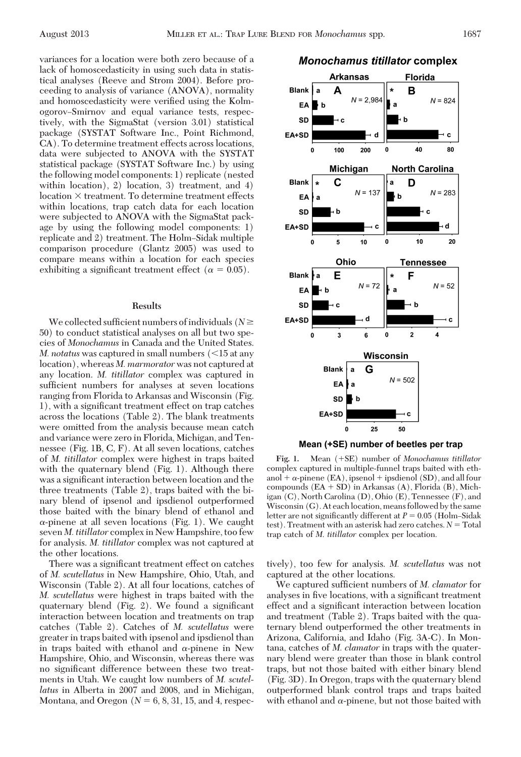variances for a location were both zero because of a lack of homoscedasticity in using such data in statistical analyses (Reeve and Strom 2004). Before proceeding to analysis of variance (ANOVA), normality and homoscedasticity were verified using the KolmogorovÐSmirnov and equal variance tests, respectively, with the SigmaStat (version 3.01) statistical package (SYSTAT Software Inc., Point Richmond, CA). To determine treatment effects across locations, data were subjected to ANOVA with the SYSTAT statistical package (SYSTAT Software Inc.) by using the following model components: 1) replicate (nested within location), 2) location, 3) treatment, and 4)  $location \times treatment$ . To determine treatment effects within locations, trap catch data for each location were subjected to ANOVA with the SigmaStat package by using the following model components: 1) replicate and 2) treatment. The Holm-Sidak multiple comparison procedure (Glantz 2005) was used to compare means within a location for each species exhibiting a significant treatment effect ( $\alpha = 0.05$ ).

## **Results**

We collected sufficient numbers of individuals ( $N \geq$ 50) to conduct statistical analyses on all but two species of *Monochamus* in Canada and the United States. *M. notatus* was captured in small numbers  $\langle$  <15 at any location), whereas *M. marmorator* was not captured at any location. *M. titillator* complex was captured in sufficient numbers for analyses at seven locations ranging from Florida to Arkansas and Wisconsin (Fig. 1), with a significant treatment effect on trap catches across the locations (Table 2). The blank treatments were omitted from the analysis because mean catch and variance were zero in Florida, Michigan, and Tennessee (Fig. 1B, C, F). At all seven locations, catches of *M. titillator* complex were highest in traps baited with the quaternary blend (Fig. 1). Although there was a significant interaction between location and the three treatments (Table 2), traps baited with the binary blend of ipsenol and ipsdienol outperformed those baited with the binary blend of ethanol and  $\alpha$ -pinene at all seven locations (Fig. 1). We caught seven *M. titillator* complex in New Hampshire, too few for analysis. *M. titillator* complex was not captured at the other locations.

There was a significant treatment effect on catches of *M. scutellatus* in New Hampshire, Ohio, Utah, and Wisconsin (Table 2). At all four locations, catches of *M. scutellatus* were highest in traps baited with the quaternary blend (Fig.  $2$ ). We found a significant interaction between location and treatments on trap catches (Table 2). Catches of *M. scutellatus* were greater in traps baited with ipsenol and ipsdienol than in traps baited with ethanol and  $\alpha$ -pinene in New Hampshire, Ohio, and Wisconsin, whereas there was no significant difference between these two treatments in Utah. We caught low numbers of *M. scutellatus* in Alberta in 2007 and 2008, and in Michigan, Montana, and Oregon  $(N = 6, 8, 31, 15,$  and 4, respec-

## **Monochamus titillator complex**



Mean (+SE) number of beetles per trap

Fig. 1. Mean  $(+SE)$  number of *Monochamus titillator* complex captured in multiple-funnel traps baited with ethanol  $+ \alpha$ -pinene (EA), ipsenol  $+$  ipsdienol (SD), and all four compounds  $(EA + SD)$  in Arkansas  $(A)$ , Florida  $(B)$ , Michigan (C), North Carolina (D), Ohio (E), Tennessee (F), and Wisconsin (G). At each location, means followed by the same letter are not significantly different at  $P = 0.05$  (Holm–Sidak test). Treatment with an asterisk had zero catches. *N* = Total trap catch of *M*. *titillator* complex per location.

tively), too few for analysis. *M. scutellatus* was not captured at the other locations.

We captured sufficient numbers of *M. clamator* for analyses in five locations, with a significant treatment effect and a significant interaction between location and treatment (Table 2). Traps baited with the quaternary blend outperformed the other treatments in Arizona, California, and Idaho (Fig. 3A-C). In Montana, catches of *M. clamator* in traps with the quaternary blend were greater than those in blank control traps, but not those baited with either binary blend (Fig. 3D). In Oregon, traps with the quaternary blend outperformed blank control traps and traps baited with ethanol and  $\alpha$ -pinene, but not those baited with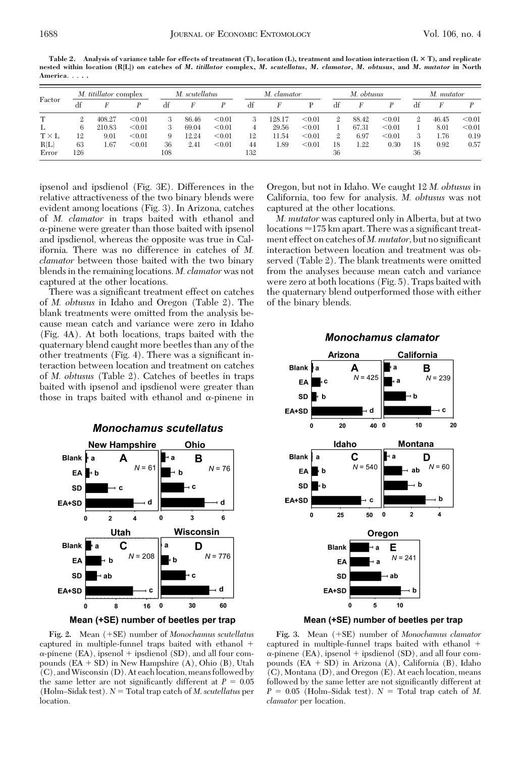**Table 2. Analysis of variance table for effects of treatment (T), location (L), treatment and location interaction (L T), and replicate nested within location (R{L}) on catches of** *M. titillator* **complex,** *M. scutellatus, M. clamator, M. obtusus,* **and** *M. mutator* **in North America**... **. .**

| Factor       |                | <i>M. titillator</i> complex |        |     | M. scutellatus |        | M. clamator |        | M. obtusus |    |       | M. mutator |              |       |        |
|--------------|----------------|------------------------------|--------|-----|----------------|--------|-------------|--------|------------|----|-------|------------|--------------|-------|--------|
|              | df             |                              |        | df  | F              |        | df          |        | Þ          | df | F     |            | df           | F     |        |
| т            | $\mathfrak{2}$ | 408.27                       | < 0.01 | 3   | 86.46          | < 0.01 | 3           | 128.17 | < 0.01     | 2  | 88.42 | < 0.01     | $\mathbf{2}$ | 46.45 | < 0.01 |
| L            | 6              | 210.83                       | < 0.01 | 3   | 69.04          | < 0.01 | 4           | 29.56  | < 0.01     |    | 67.31 | < 0.01     |              | 8.01  | < 0.01 |
| $T \times L$ | 12             | 9.01                         | < 0.01 | 9   | 12.24          | < 0.01 | 12          | 11.54  | < 0.01     | 2  | 6.97  | < 0.01     | 3            | 1.76  | 0.19   |
| $R{L}$       | 63             | 1.67                         | < 0.01 | 36  | 2.41           | < 0.01 | 44          | 1.89   | < 0.01     | 18 | 1.22  | 0.30       | 18           | 0.92  | 0.57   |
| Error        | 126            |                              |        | 108 |                |        | 132         |        |            | 36 |       |            | 36           |       |        |

ipsenol and ipsdienol (Fig. 3E). Differences in the relative attractiveness of the two binary blends were evident among locations (Fig. 3). In Arizona, catches of *M. clamator* in traps baited with ethanol and -pinene were greater than those baited with ipsenol and ipsdienol, whereas the opposite was true in California. There was no difference in catches of *M. clamator* between those baited with the two binary blends in the remaining locations. *M. clamator* was not captured at the other locations.

There was a significant treatment effect on catches of *M. obtusus* in Idaho and Oregon (Table 2). The blank treatments were omitted from the analysis because mean catch and variance were zero in Idaho (Fig. 4A). At both locations, traps baited with the quaternary blend caught more beetles than any of the other treatments  $(Fig. 4)$ . There was a significant interaction between location and treatment on catches of *M. obtusus* (Table 2). Catches of beetles in traps baited with ipsenol and ipsdienol were greater than those in traps baited with ethanol and  $\alpha$ -pinene in



Mean (+SE) number of beetles per trap

Fig. 2. Mean (+SE) number of *Monochamus scutellatus* captured in multiple-funnel traps baited with ethanol  $\alpha$ -pinene (EA), ipsenol + ipsdienol (SD), and all four compounds  $(EA + SD)$  in New Hampshire  $(A)$ , Ohio  $(B)$ , Utah (C), andWisconsin (D). At eachlocation, means followed by the same letter are not significantly different at  $P = 0.05$ (Holm–Sidak test).  $N =$  Total trap catch of *M*. *scutellatus* per location.

Oregon, but not in Idaho. We caught 12 *M. obtusus* in California, too few for analysis. *M. obtusus* was not captured at the other locations.

*M. mutator* was captured only in Alberta, but at two locations  $\approx$ 175 km apart. There was a significant treatment effect on catches of *M. mutator*, but no significant interaction between location and treatment was observed (Table 2). The blank treatments were omitted from the analyses because mean catch and variance were zero at both locations (Fig. 5). Traps baited with the quaternary blend outperformed those with either of the binary blends.



## **Monochamus clamator**

Mean (+SE) number of beetles per trap

Fig. 3. Mean  $(+SE)$  number of *Monochamus clamator* captured in multiple-funnel traps baited with ethanol  $\alpha$ -pinene (EA), ipsenol + ipsdienol (SD), and all four compounds  $(EA + SD)$  in Arizona  $(A)$ , California  $(B)$ , Idaho (C), Montana (D), and Oregon (E). At each location, means followed by the same letter are not significantly different at  $P = 0.05$  (Holm–Sidak test).  $N =$  Total trap catch of *M*. *clamator* per location.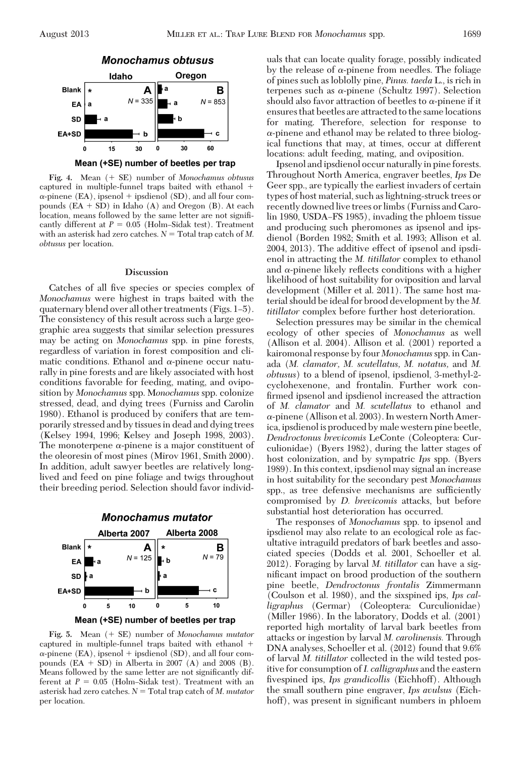

Mean (+SE) number of beetles per trap

Fig. 4. Mean  $(+)$  SE) number of *Monochamus obtusus* captured in multiple-funnel traps baited with ethanol  $\alpha$ -pinene (EA), ipsenol + ipsdienol (SD), and all four compounds  $(EA + SD)$  in Idaho  $(A)$  and Oregon  $(B)$ . At each location, means followed by the same letter are not signiÞcantly different at  $P = 0.05$  (Holm-Sidak test). Treatment with an asterisk had zero catches.  $N = \text{Total trap catch of } M$ . *obtusus* per location.

#### **Discussion**

Catches of all five species or species complex of *Monochamus* were highest in traps baited with the quaternary blend over all other treatments (Figs.  $1-5$ ). The consistency of this result across such a large geographic area suggests that similar selection pressures may be acting on *Monochamus* spp. in pine forests, regardless of variation in forest composition and climatic conditions. Ethanol and  $\alpha$ -pinene occur naturally in pine forests and are likely associated with host conditions favorable for feeding, mating, and oviposition by *Monochamus* spp. M*onochamus* spp. colonize stressed, dead, and dying trees (Furniss and Carolin 1980). Ethanol is produced by conifers that are temporarily stressed and by tissues in dead and dying trees (Kelsey 1994, 1996; Kelsey and Joseph 1998, 2003). The monoterpene  $\alpha$ -pinene is a major constituent of the oleoresin of most pines (Mirov 1961, Smith 2000). In addition, adult sawyer beetles are relatively longlived and feed on pine foliage and twigs throughout their breeding period. Selection should favor individ-



Fig. 5. Mean  $( + SE)$  number of *Monochamus mutator* captured in multiple-funnel traps baited with ethanol  $\alpha$ -pinene (EA), ipsenol + ipsdienol (SD), and all four compounds  $(EA + SD)$  in Alberta in 2007 (A) and 2008 (B). Means followed by the same letter are not significantly different at  $P = 0.05$  (Holm-Sidak test). Treatment with an asterisk had zero catches.  $N =$  Total trap catch of *M. mutator* per location.

uals that can locate quality forage, possibly indicated by the release of  $\alpha$ -pinene from needles. The foliage of pines such as loblolly pine, *Pinus. taeda* L., is rich in terpenes such as  $\alpha$ -pinene (Schultz 1997). Selection should also favor attraction of beetles to  $\alpha$ -pinene if it ensures that beetles are attracted to the same locations for mating. Therefore, selection for response to  $\alpha$ -pinene and ethanol may be related to three biological functions that may, at times, occur at different locations: adult feeding, mating, and oviposition.

Ipsenol andipsdienol occur naturallyin pine forests. Throughout North America, engraver beetles, *Ips* De Geer spp., are typically the earliest invaders of certain types of host material, such as lightning-struck trees or recently downed live trees or limbs (Furniss and Carolin 1980, USDA–FS 1985), invading the phloem tissue and producing such pheromones as ipsenol and ipsdienol (Borden 1982; Smith et al. 1993; Allison et al. 2004, 2013). The additive effect of ipsenol and ipsdienol in attracting the *M. titillator* complex to ethanol and  $\alpha$ -pinene likely reflects conditions with a higher likelihood of host suitability for oviposition and larval development (Miller et al. 2011). The same host material should be ideal for brood development by the *M. titillator* complex before further host deterioration.

Selection pressures may be similar in the chemical ecology of other species of *Monochamus* as well (Allison et al. 2004). Allison et al. (2001) reported a kairomonal response by four *Monochamus*spp. in Canada (*M. clamator, M. scutellatus, M. notatus,* and *M. obtusus*) to a blend of ipsenol, ipsdienol, 3-methyl-2 cyclohexenone, and frontalin. Further work confirmed ipsenol and ipsdienol increased the attraction of *M. clamator* and *M. scutellatus* to ethanol and  $\alpha$ -pinene (Allison et al. 2003). In western North America, ipsdienol is produced by male western pine beetle, *Dendroctonus brevicomis* LeConte (Coleoptera: Curculionidae) (Byers 1982), during the latter stages of host colonization, and by sympatric *Ips* spp. (Byers 1989). In this context, ipsdienol may signal an increase in host suitability for the secondary pest *Monochamus* spp., as tree defensive mechanisms are sufficiently compromised by *D. brevicomis* attacks, but before substantial host deterioration has occurred.

The responses of *Monochamus* spp. to ipsenol and ipsdienol may also relate to an ecological role as facultative intraguild predators of bark beetles and associated species (Dodds et al. 2001, Schoeller et al. 2012). Foraging by larval *M. titillator* can have a significant impact on brood production of the southern pine beetle, *Dendroctonus frontalis* Zimmermann (Coulson et al. 1980), and the sixspined ips, *Ips calligraphus* (Germar) (Coleoptera: Curculionidae) (Miller 1986). In the laboratory, Dodds et al. (2001) reported high mortality of larval bark beetles from attacks or ingestion by larval *M. carolinensis.* Through DNA analyses, Schoeller et al. (2012) found that 9.6% of larval *M. titillator* collected in the wild tested positive for consumption of*I. calligraphus* and the eastern Þvespined ips, *Ips grandicollis* (Eichhoff). Although the small southern pine engraver, *Ips avulsus* (Eichhoff), was present in significant numbers in phloem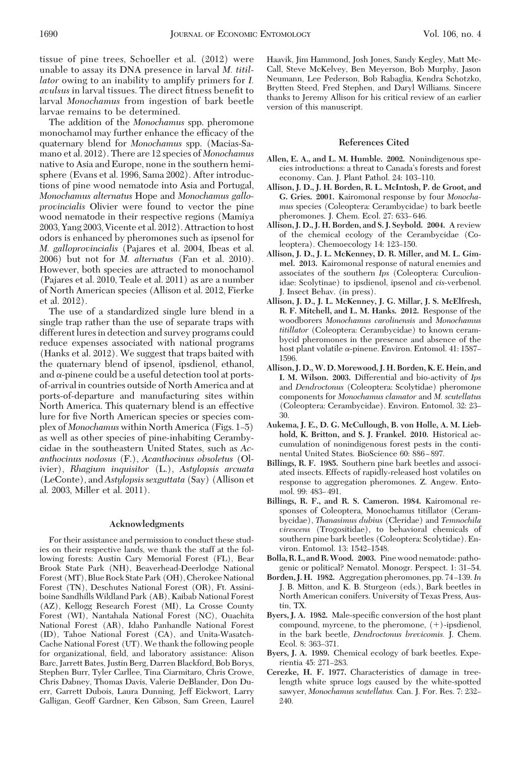tissue of pine trees, Schoeller et al. (2012) were unable to assay its DNA presence in larval *M. titillator* owing to an inability to amplify primers for *I. avulsus* in larval tissues. The direct fitness benefit to larval *Monochamus* from ingestion of bark beetle larvae remains to be determined.

The addition of the *Monochamus* spp. pheromone monochamol may further enhance the efficacy of the quaternary blend for *Monochamus* spp. (Macias-Samano et al. 2012). There are 12 species of *Monochamus* native to Asia and Europe, none in the southern hemisphere (Evans et al. 1996, Sama 2002). After introductions of pine wood nematode into Asia and Portugal, *Monochamus alternatus* Hope and *Monochamus galloprovincialis* Olivier were found to vector the pine wood nematode in their respective regions (Mamiya 2003, Yang 2003, Vicente et al. 2012). Attraction to host odors is enhanced by pheromones such as ipsenol for *M. galloprovincialis* (Pajares et al. 2004, Ibeas et al. 2006) but not for *M. alternatus* (Fan et al. 2010). However, both species are attracted to monochamol (Pajares et al. 2010, Teale et al. 2011) as are a number of North American species (Allison et al. 2012, Fierke et al. 2012).

The use of a standardized single lure blend in a single trap rather than the use of separate traps with different lures in detection and survey programs could reduce expenses associated with national programs (Hanks et al. 2012). We suggest that traps baited with the quaternary blend of ipsenol, ipsdienol, ethanol, and  $\alpha$ -pinene could be a useful detection tool at portsof-arrival in countries outside of North America and at ports-of-departure and manufacturing sites within North America. This quaternary blend is an effective lure for five North American species or species complex of *Monochamus* within North America (Figs. 1-5) as well as other species of pine-inhabiting Cerambycidae in the southeastern United States, such as *Acanthocinus nodosus* (F.), *Acanthocinus obsoletus* (Olivier), *Rhagium inquisitor* (L.), *Astylopsis arcuata* (LeConte), and *Astylopsis sexguttata* (Say) (Allison et al. 2003, Miller et al. 2011).

#### **Acknowledgments**

For their assistance and permission to conduct these studies on their respective lands, we thank the staff at the following forests: Austin Cary Memorial Forest (FL), Bear Brook State Park (NH), Beaverhead-Deerlodge National Forest (MT), Blue Rock State Park (OH), Cherokee National Forest (TN), Deschutes National Forest (OR), Ft. Assiniboine Sandhills Wildland Park (AB), Kaibab National Forest (AZ), Kellogg Research Forest (MI), La Crosse County Forest (WI), Nantahala National Forest (NC), Ouachita National Forest (AR), Idaho Panhandle National Forest (ID), Tahoe National Forest (CA), and Unita-Wasatch-Cache National Forest (UT). We thank the following people for organizational, field, and laboratory assistance: Alison Barc, Jarrett Bates, Justin Berg, Darren Blackford, Bob Borys, Stephen Burr, Tyler Carllee, Tina Ciarmitaro, Chris Crowe, Chris Dabney, Thomas Davis, Valerie DeBlander, Don Duerr, Garrett Dubois, Laura Dunning, Jeff Eickwort, Larry Galligan, Geoff Gardner, Ken Gibson, Sam Green, Laurel

Haavik, Jim Hammond, Josh Jones, Sandy Kegley, Matt Mc-Call, Steve McKelvey, Ben Meyerson, Bob Murphy, Jason Neumann, Lee Pederson, Bob Rabaglia, Kendra Schotzko, Brytten Steed, Fred Stephen, and Daryl Williams. Sincere thanks to Jeremy Allison for his critical review of an earlier version of this manuscript.

#### **References Cited**

- **Allen, E. A., and L. M. Humble. 2002.** Nonindigenous species introductions: a threat to Canada's forests and forest economy. Can. J. Plant Pathol. 24: 103-110.
- **Allison, J. D., J. H. Borden, R. L. McIntosh, P. de Groot, and G. Gries. 2001.** Kairomonal response by four *Monochamus* species (Coleoptera: Cerambycidae) to bark beetle pheromones. J. Chem. Ecol. 27: 633-646.
- **Allison, J. D., J. H. Borden, and S. J. Seybold. 2004.** A review of the chemical ecology of the Cerambycidae (Coleoptera). Chemoecology 14: 123-150.
- **Allison, J. D., J. L. McKenney, D. R. Miller, and M. L. Gimmel. 2013.** Kairomonal response of natural enemies and associates of the southern *Ips* (Coleoptera: Curculionidae: Scolytinae) to ipsdienol, ipsenol and *cis*-verbenol. J. Insect Behav. (in press).
- **Allison, J. D., J. L. McKenney, J. G. Millar, J. S. McElfresh, R. F. Mitchell, and L. M. Hanks. 2012.** Response of the woodborers *Monochamus carolinensis* and *Monochamus titillator* (Coleoptera: Cerambycidae) to known cerambycid pheromones in the presence and absence of the host plant volatile  $\alpha$ -pinene. Environ. Entomol. 41: 1587– 1596.
- **Allison, J. D., W. D. Morewood, J. H. Borden, K. E. Hein, and I. M. Wilson. 2003.** Differential and bio-activity of *Ips* and *Dendroctonus* (Coleoptera: Scolytidae) pheromone components for *Monochamus clamator* and *M. scutellatus* (Coleoptera: Cerambycidae). Environ. Entomol. 32: 23-30.
- **Aukema, J. E., D. G. McCullough, B. von Holle, A. M. Liebhold, K. Britton, and S. J. Frankel. 2010.** Historical accumulation of nonindigenous forest pests in the continental United States. BioScience 60: 886-897.
- **Billings, R. F. 1985.** Southern pine bark beetles and associated insects. Effects of rapidly-released host volatiles on response to aggregation pheromones. Z. Angew. Entomol. 99: 483-491.
- **Billings, R. F., and R. S. Cameron. 1984.** Kairomonal responses of Coleoptera, Monochamus titillator (Cerambycidae), *Thanasimus dubius* (Cleridae) and *Temnochila virescens* (Trogositidae), to behavioral chemicals of southern pine bark beetles (Coleoptera: Scolytidae). Environ. Entomol. 13: 1542-1548.
- **Bolla, R. I., and R.Wood. 2003.** Pine wood nematode: pathogenic or political? Nematol. Monogr. Perspect. 1: 31–54.
- **Borden, J. H. 1982.** Aggregation pheromones, pp. 74-139. In J. B. Mitton, and K. B. Sturgeon (eds.), Bark beetles in North American conifers. University of Texas Press, Austin, TX.
- **Byers, J. A. 1982.** Male-specific conversion of the host plant compound, myrcene, to the pheromone,  $(+)$ -ipsdienol, in the bark beetle, *Dendroctonus brevicomis.* J. Chem. Ecol. 8: 363-371.
- **Byers, J. A. 1989.** Chemical ecology of bark beetles. Experientia 45: 271-283.
- **Cerezke, H. F. 1977.** Characteristics of damage in treelength white spruce logs caused by the white-spotted sawyer, *Monochamus scutellatus.* Can. J. For. Res. 7: 232-240.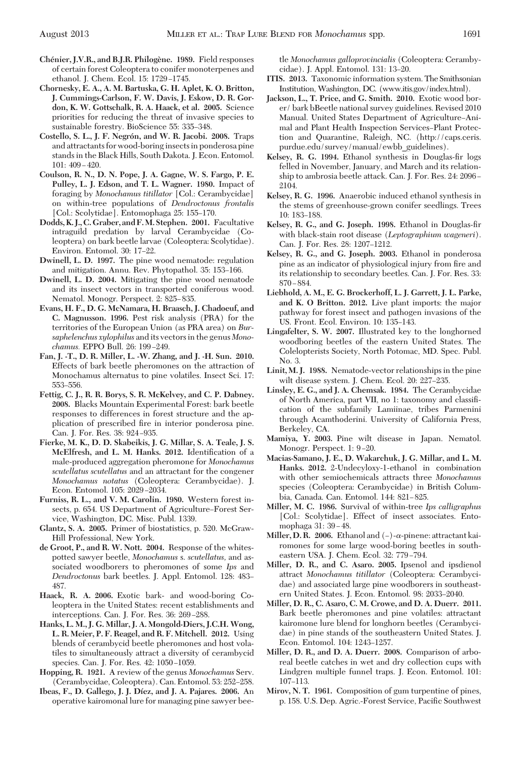- **Che´nier, J.V.R., and B.J.R. Philoge`ne. 1989.** Field responses of certain forest Coleoptera to conifer monoterpenes and ethanol. J. Chem. Ecol. 15: 1729-1745.
- **Chornesky, E. A., A. M. Bartuska, G. H. Aplet, K. O. Britton, J. Cummings-Carlson, F. W. Davis, J. Eskow, D. R. Gordon, K. W. Gottschalk, R. A. Haack, et al. 2005.** Science priorities for reducing the threat of invasive species to sustainable forestry. BioScience 55: 335-348.
- Costello, S. L., J. F. Negrón, and W. R. Jacobi. 2008. Traps and attractants for wood-boring insects in ponderosa pine stands in the Black Hills, South Dakota. J. Econ. Entomol.  $101: 409 - 420.$
- **Coulson, R. N., D. N. Pope, J. A. Gagne, W. S. Fargo, P. E. Pulley, L. J. Edson, and T. L. Wagner. 1980.** Impact of foraging by *Monochamus titillator* [Col.: Cerambycidae] on within-tree populations of *Dendroctonus frontalis* [Col.: Scolytidae]. Entomophaga 25: 155-170.
- **Dodds, K. J., C. Graber, and F.M. Stephen. 2001.** Facultative intraguild predation by larval Cerambycidae (Coleoptera) on bark beetle larvae (Coleoptera: Scolytidae). Environ. Entomol. 30: 17–22.
- **Dwinell, L. D. 1997.** The pine wood nematode: regulation and mitigation. Annu. Rev. Phytopathol. 35: 153-166.
- **Dwinell, L. D. 2004.** Mitigating the pine wood nematode and its insect vectors in transported coniferous wood. Nematol. Monogr. Perspect. 2: 825–835.
- **Evans, H. F., D. G. McNamara, H. Braasch, J. Chadoeuf, and C. Magnusson. 1996.** Pest risk analysis (PRA) for the territories of the European Union (as PRA area) on *Bursaphelenchus xylophilus* and its vectors in the genus *Monochamus.* EPPO Bull. 26: 199-249.
- **Fan, J. -T., D. R. Miller, L. -W. Zhang, and J. -H. Sun. 2010.** Effects of bark beetle pheromones on the attraction of Monochamus alternatus to pine volatiles. Insect Sci. 17: 553-556.
- **Fettig, C. J., R. R. Borys, S. R. McKelvey, and C. P. Dabney. 2008.** Blacks Mountain Experimental Forest: bark beetle responses to differences in forest structure and the application of prescribed fire in interior ponderosa pine. Can. J. For. Res. 38: 924-935.
- **Fierke, M. K., D. D. Skabeikis, J. G. Millar, S. A. Teale, J. S.** McElfresh, and L. M. Hanks. 2012. Identification of a male-produced aggregation pheromone for *Monochamus scutellatus scutellatus* and an attractant for the congener *Monochamus notatus* (Coleoptera: Cerambycidae). J. Econ. Entomol. 105: 2029-2034.
- **Furniss, R. L., and V. M. Carolin. 1980.** Western forest insects, p. 654. US Department of Agriculture–Forest Service, Washington, DC. Misc. Publ. 1339.
- **Glantz, S. A. 2005.** Primer of biostatistics, p. 520. McGraw-Hill Professional, New York.
- **de Groot, P., and R. W. Nott. 2004.** Response of the whitespotted sawyer beetle, *Monochamus* s. *scutellatus,* and associated woodborers to pheromones of some *Ips* and *Dendroctonus* bark beetles. J. Appl. Entomol. 128: 483– 487.
- **Haack, R. A. 2006.** Exotic bark- and wood-boring Coleoptera in the United States: recent establishments and interceptions. Can. J. For. Res.  $36: 269-288$ .
- **Hanks, L. M., J. G. Millar, J. A. Mongold-Diers, J.C.H. Wong, L. R. Meier, P. F. Reagel, and R. F. Mitchell. 2012.** Using blends of cerambycid beetle pheromones and host volatiles to simultaneously attract a diversity of cerambycid species. Can. J. For. Res. 42: 1050-1059.
- **Hopping, R. 1921.** A review of the genus *Monochamus* Serv. (Cerambycidae, Coleoptera). Can. Entomol. 53: 252-258.
- **Ibeas, F., D. Gallego, J. J. Dı´ez, and J. A. Pajares. 2006.** An operative kairomonal lure for managing pine sawyer bee-

tle *Monochamus galloprovincialis* (Coleoptera: Cerambycidae). J. Appl. Entomol. 131: 13–20.

- **ITIS. 2013.** Taxonomic information system. The Smithsonian Institution, Washington, DC. (www.itis.gov/index.html).
- **Jackson, L., T. Price, and G. Smith. 2010.** Exotic wood borer/ bark bBeetle national survey guidelines. Revised 2010 Manual. United States Department of Agriculture-Animal and Plant Health Inspection Services-Plant Protection and Quarantine, Raleigh, NC. (http://caps.ceris. purdue.edu/survey/manual/ewbb\_guidelines).
- Kelsey, R. G. 1994. Ethanol synthesis in Douglas-fir logs felled in November, January, and March and its relationship to ambrosia beetle attack. Can. J. For. Res. 24: 2096 – 2104.
- **Kelsey, R. G. 1996.** Anaerobic induced ethanol synthesis in the stems of greenhouse-grown conifer seedlings. Trees 10: 183-188.
- Kelsey, R. G., and G. Joseph. 1998. Ethanol in Douglas-fir with black-stain root disease (*Leptographium wageneri*). Can. J. For. Res. 28: 1207-1212.
- **Kelsey, R. G., and G. Joseph. 2003.** Ethanol in ponderosa pine as an indicator of physiological injury from fire and its relationship to secondary beetles. Can. J. For. Res. 33:  $870 - 884.$
- **Liebhold, A. M., E. G. Brockerhoff, L. J. Garrett, J. L. Parke, and K. O Britton. 2012.** Live plant imports: the major pathway for forest insect and pathogen invasions of the US. Front. Ecol. Environ. 10: 135-143.
- **Lingafelter, S. W. 2007.** Illustrated key to the longhorned woodboring beetles of the eastern United States. The Colelopterists Society, North Potomac, MD. Spec. Publ. No. 3.
- **Linit, M. J. 1988.** Nematode-vector relationships in the pine wilt disease system. J. Chem. Ecol. 20: 227-235.
- **Linsley, E. G., and J. A. Chemsak. 1984.** The Cerambycidae of North America, part VII, no 1: taxonomy and classiÞcation of the subfamily Lamiinae, tribes Parmenini through Acamthoderini. University of California Press, Berkeley, CA.
- **Mamiya, Y. 2003.** Pine wilt disease in Japan. Nematol. Monogr. Perspect. 1: 9-20.
- **Macias-Samano, J. E., D. Wakarchuk, J. G. Millar, and L. M. Hanks. 2012.** 2-Undecyloxy-1-ethanol in combination with other semiochemicals attracts three *Monochamus* species (Coleoptera: Cerambycidae) in British Columbia, Canada. Can. Entomol. 144: 821-825.
- **Miller, M. C. 1986.** Survival of within-tree *Ips calligraphus* [Col.: Scolytidae]. Effect of insect associates. Entomophaga 31: 39 – 48.
- **Miller, D. R. 2006.** Ethanol and  $(-)$ - $\alpha$ -pinene: attractant kairomones for some large wood-boring beetles in southeastern USA. J. Chem. Ecol. 32: 779-794.
- **Miller, D. R., and C. Asaro. 2005.** Ipsenol and ipsdienol attract *Monochamus titillator* (Coleoptera: Cerambycidae) and associated large pine woodborers in southeastern United States. J. Econ. Entomol. 98: 2033-2040.
- **Miller, D. R., C. Asaro, C. M. Crowe, and D. A. Duerr. 2011.** Bark beetle pheromones and pine volatiles: attractant kairomone lure blend for longhorn beetles (Cerambycidae) in pine stands of the southeastern United States. J. Econ. Entomol. 104: 1243-1257.
- **Miller, D. R., and D. A. Duerr. 2008.** Comparison of arboreal beetle catches in wet and dry collection cups with Lindgren multiple funnel traps. J. Econ. Entomol. 101: 107-113.
- **Mirov, N. T. 1961.** Composition of gum turpentine of pines, p. 158. U.S. Dep. Agric.-Forest Service, Pacific Southwest